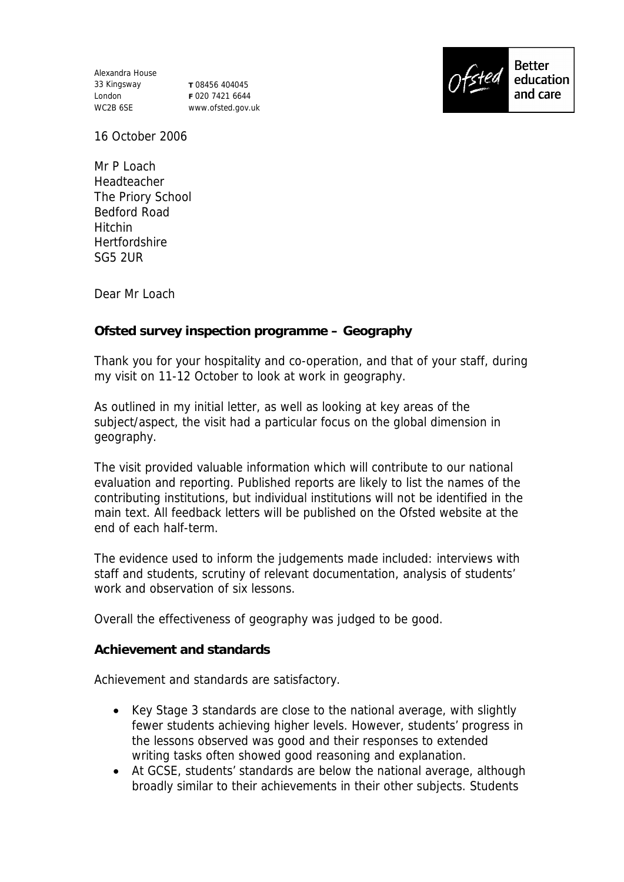Alexandra House 33 Kingsway London WC2B 6SE

**T** 08456 404045 **F** 020 7421 6644 www.ofsted.gov.uk



16 October 2006

Mr P Loach **Headteacher** The Priory School Bedford Road Hitchin Hertfordshire SG5 2UR

Dear Mr Loach

**Ofsted survey inspection programme – Geography**

Thank you for your hospitality and co-operation, and that of your staff, during my visit on 11-12 October to look at work in geography.

As outlined in my initial letter, as well as looking at key areas of the subject/aspect, the visit had a particular focus on the global dimension in geography.

The visit provided valuable information which will contribute to our national evaluation and reporting. Published reports are likely to list the names of the contributing institutions, but individual institutions will not be identified in the main text. All feedback letters will be published on the Ofsted website at the end of each half-term.

The evidence used to inform the judgements made included: interviews with staff and students, scrutiny of relevant documentation, analysis of students' work and observation of six lessons.

Overall the effectiveness of geography was judged to be good.

**Achievement and standards** 

Achievement and standards are satisfactory.

- Key Stage 3 standards are close to the national average, with slightly fewer students achieving higher levels. However, students' progress in the lessons observed was good and their responses to extended writing tasks often showed good reasoning and explanation.
- At GCSE, students' standards are below the national average, although broadly similar to their achievements in their other subjects. Students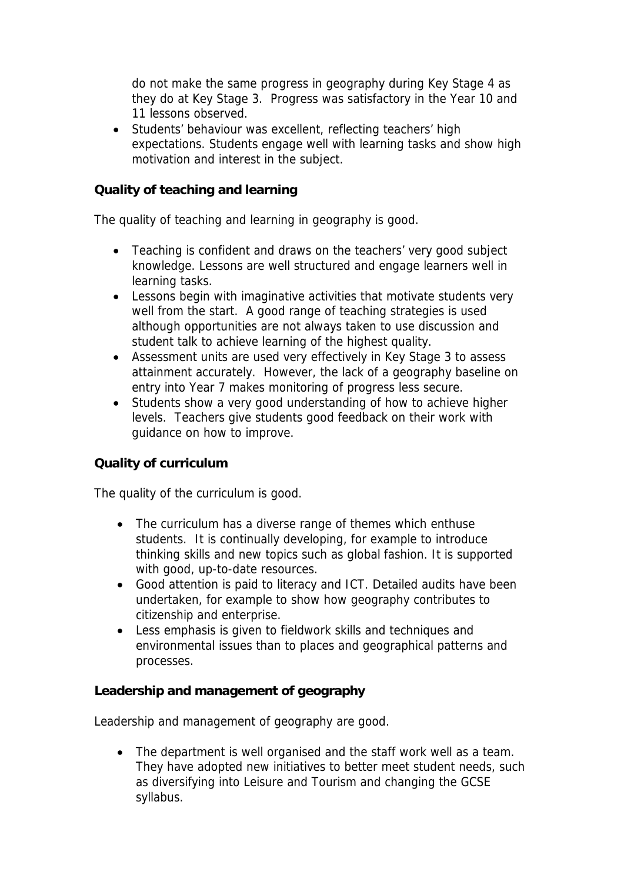do not make the same progress in geography during Key Stage 4 as they do at Key Stage 3. Progress was satisfactory in the Year 10 and 11 lessons observed.

 Students' behaviour was excellent, reflecting teachers' high expectations. Students engage well with learning tasks and show high motivation and interest in the subject.

## **Quality of teaching and learning**

The quality of teaching and learning in geography is good.

- Teaching is confident and draws on the teachers' very good subject knowledge. Lessons are well structured and engage learners well in learning tasks.
- Lessons begin with imaginative activities that motivate students very well from the start. A good range of teaching strategies is used although opportunities are not always taken to use discussion and student talk to achieve learning of the highest quality.
- Assessment units are used very effectively in Key Stage 3 to assess attainment accurately. However, the lack of a geography baseline on entry into Year 7 makes monitoring of progress less secure.
- Students show a very good understanding of how to achieve higher levels. Teachers give students good feedback on their work with guidance on how to improve.

## **Quality of curriculum**

The quality of the curriculum is good.

- The curriculum has a diverse range of themes which enthuse students. It is continually developing, for example to introduce thinking skills and new topics such as global fashion. It is supported with good, up-to-date resources.
- Good attention is paid to literacy and ICT. Detailed audits have been undertaken, for example to show how geography contributes to citizenship and enterprise.
- Less emphasis is given to fieldwork skills and techniques and environmental issues than to places and geographical patterns and processes.

**Leadership and management of geography**

Leadership and management of geography are good.

• The department is well organised and the staff work well as a team. They have adopted new initiatives to better meet student needs, such as diversifying into Leisure and Tourism and changing the GCSE syllabus.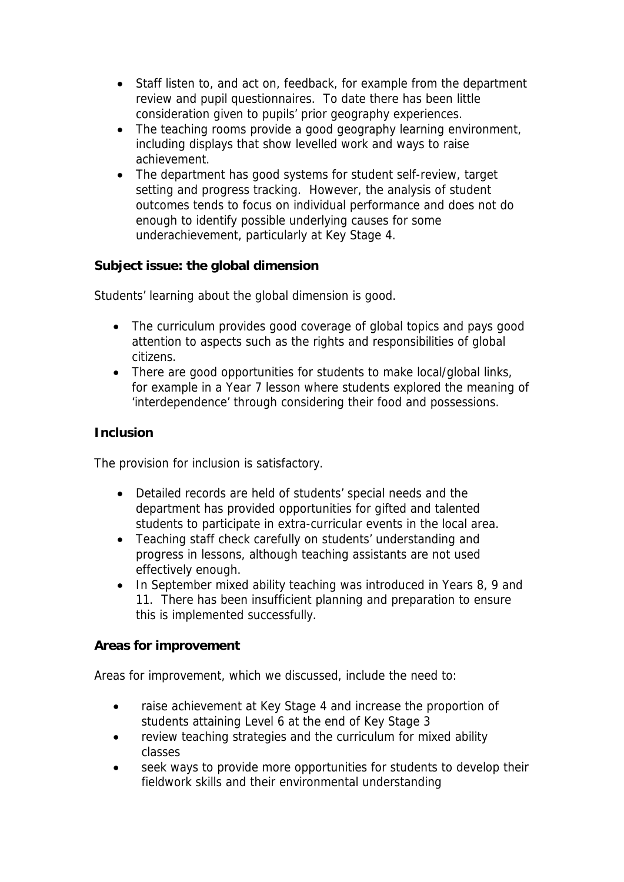- Staff listen to, and act on, feedback, for example from the department review and pupil questionnaires. To date there has been little consideration given to pupils' prior geography experiences.
- The teaching rooms provide a good geography learning environment, including displays that show levelled work and ways to raise achievement.
- The department has good systems for student self-review, target setting and progress tracking. However, the analysis of student outcomes tends to focus on individual performance and does not do enough to identify possible underlying causes for some underachievement, particularly at Key Stage 4.

**Subject issue: the global dimension**

Students' learning about the global dimension is good.

- The curriculum provides good coverage of global topics and pays good attention to aspects such as the rights and responsibilities of global citizens.
- There are good opportunities for students to make local/global links, for example in a Year 7 lesson where students explored the meaning of 'interdependence' through considering their food and possessions.

## **Inclusion**

The provision for inclusion is satisfactory.

- Detailed records are held of students' special needs and the department has provided opportunities for gifted and talented students to participate in extra-curricular events in the local area.
- Teaching staff check carefully on students' understanding and progress in lessons, although teaching assistants are not used effectively enough.
- In September mixed ability teaching was introduced in Years 8, 9 and 11. There has been insufficient planning and preparation to ensure this is implemented successfully.

## **Areas for improvement**

Areas for improvement, which we discussed, include the need to:

- raise achievement at Key Stage 4 and increase the proportion of students attaining Level 6 at the end of Key Stage 3
- review teaching strategies and the curriculum for mixed ability classes
- seek ways to provide more opportunities for students to develop their fieldwork skills and their environmental understanding